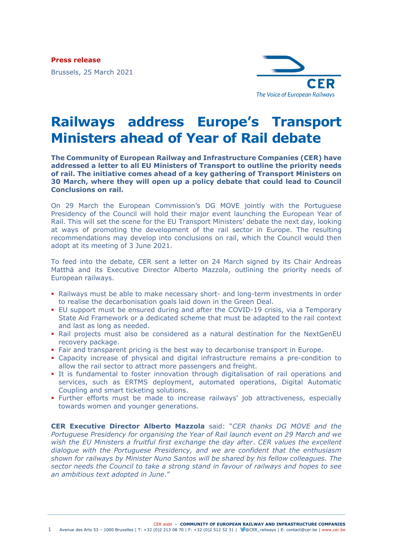**Press release**

Brussels, 25 March 2021



## **Railways address Europe's Transport Ministers ahead of Year of Rail debate**

**The Community of European Railway and Infrastructure Companies (CER) have addressed a letter to all EU Ministers of Transport to outline the priority needs of rail. The initiative comes ahead of a key gathering of Transport Ministers on 30 March, where they will open up a policy debate that could lead to Council Conclusions on rail.**

On 29 March the European Commission's DG MOVE jointly with the Portuguese Presidency of the Council will hold their major event launching the European Year of Rail. This will set the scene for the EU Transport Ministers' debate the next day, looking at ways of promoting the development of the rail sector in Europe. The resulting recommendations may develop into conclusions on rail, which the Council would then adopt at its meeting of 3 June 2021.

To feed into the debate, CER sent a letter on 24 March signed by its Chair Andreas Matthä and its Executive Director Alberto Mazzola, outlining the priority needs of European railways.

- Railways must be able to make necessary short- and long-term investments in order to realise the decarbonisation goals laid down in the Green Deal.
- EU support must be ensured during and after the COVID-19 crisis, via a Temporary State Aid Framework or a dedicated scheme that must be adapted to the rail context and last as long as needed.
- Rail projects must also be considered as a natural destination for the NextGenEU recovery package.
- Fair and transparent pricing is the best way to decarbonise transport in Europe.
- Capacity increase of physical and digital infrastructure remains a pre-condition to allow the rail sector to attract more passengers and freight.
- **.** It is fundamental to foster innovation through digitalisation of rail operations and services, such as ERTMS deployment, automated operations, Digital Automatic Coupling and smart ticketing solutions.
- Further efforts must be made to increase railways' job attractiveness, especially towards women and younger generations.

**CER Executive Director Alberto Mazzola** said: "*CER thanks DG MOVE and the Portuguese Presidency for organising the Year of Rail launch event on 29 March and we wish the EU Ministers a fruitful first exchange the day after*. *CER values the excellent dialogue with the Portuguese Presidency, and we are confident that the enthusiasm shown for railways by Minister Nuno Santos will be shared by his fellow colleagues. The sector needs the Council to take a strong stand in favour of railways and hopes to see an ambitious text adopted in June*."